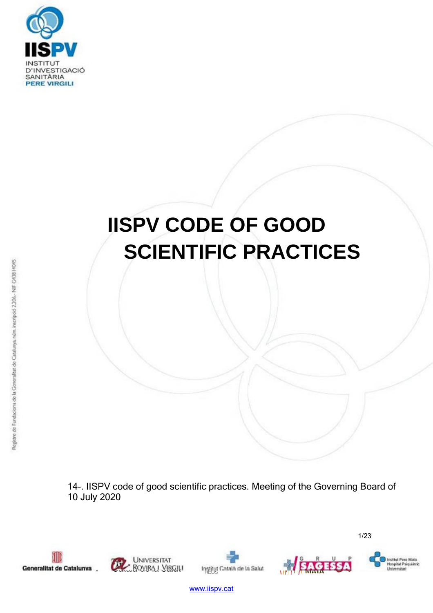

# **IISPV CODE OF GOOD SCIENTIFIC PRACTICES**

14-. IISPV code of good scientific practices. Meeting of the Governing Board of 10 July 2020











1/23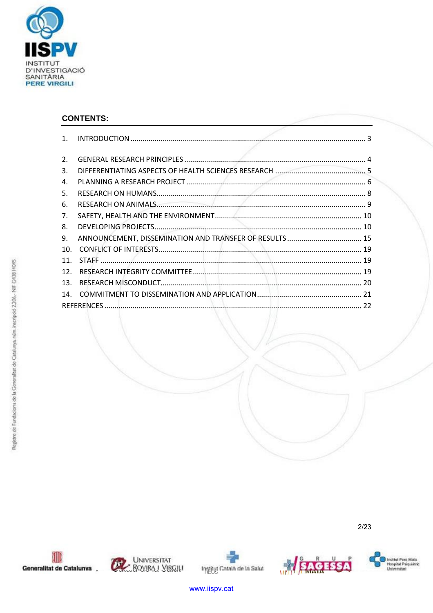

# **CONTENTS:**

| $\mathbf{1}$ .   |  |  |
|------------------|--|--|
|                  |  |  |
| $\overline{2}$ . |  |  |
| 3.               |  |  |
| 4.               |  |  |
| 5.               |  |  |
| 6.               |  |  |
| 7.               |  |  |
| 8.               |  |  |
| 9.               |  |  |
| 10.              |  |  |
| 11 <sub>1</sub>  |  |  |
| 12 <sub>1</sub>  |  |  |
| 13 <sub>1</sub>  |  |  |
| 14.              |  |  |
|                  |  |  |

 $2/23$ 







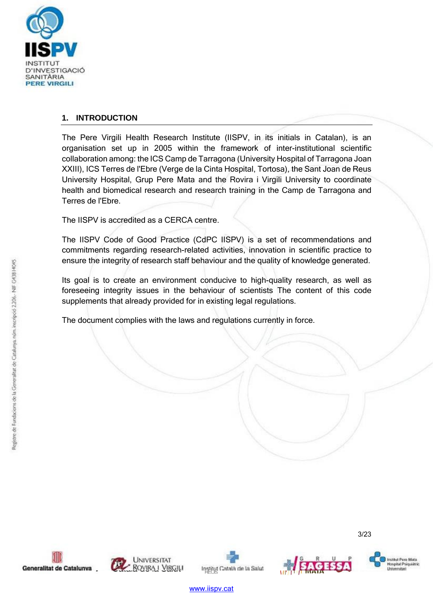

# **1. INTRODUCTION**

The Pere Virgili Health Research Institute (IISPV, in its initials in Catalan), is an organisation set up in 2005 within the framework of inter-institutional scientific collaboration among: the ICS Camp de Tarragona (University Hospital of Tarragona Joan XXIII), ICS Terres de l'Ebre (Verge de la Cinta Hospital, Tortosa), the Sant Joan de Reus University Hospital, Grup Pere Mata and the Rovira i Virgili University to coordinate health and biomedical research and research training in the Camp de Tarragona and Terres de l'Ebre.

The IISPV is accredited as a CERCA centre.

The IISPV Code of Good Practice (CdPC IISPV) is a set of recommendations and commitments regarding research-related activities, innovation in scientific practice to ensure the integrity of research staff behaviour and the quality of knowledge generated.

Its goal is to create an environment conducive to high-quality research, as well as foreseeing integrity issues in the behaviour of scientists The content of this code supplements that already provided for in existing legal regulations.

The document complies with the laws and regulations currently in force.









Institut Pere Mata<br>Hospitat Psiquide Universitari

3/23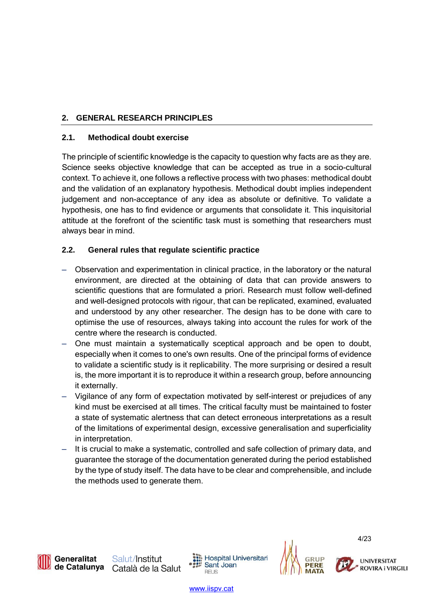# **2. GENERAL RESEARCH PRINCIPLES**

# **2.1. Methodical doubt exercise**

The principle of scientific knowledge is the capacity to question why facts are as they are. Science seeks objective knowledge that can be accepted as true in a socio-cultural context. To achieve it, one follows a reflective process with two phases: methodical doubt and the validation of an explanatory hypothesis. Methodical doubt implies independent judgement and non-acceptance of any idea as absolute or definitive. To validate a hypothesis, one has to find evidence or arguments that consolidate it. This inquisitorial attitude at the forefront of the scientific task must is something that researchers must always bear in mind.

# **2.2. General rules that regulate scientific practice**

- Observation and experimentation in clinical practice, in the laboratory or the natural environment, are directed at the obtaining of data that can provide answers to scientific questions that are formulated a priori. Research must follow well-defined and well-designed protocols with rigour, that can be replicated, examined, evaluated and understood by any other researcher. The design has to be done with care to optimise the use of resources, always taking into account the rules for work of the centre where the research is conducted.
- One must maintain a systematically sceptical approach and be open to doubt, especially when it comes to one's own results. One of the principal forms of evidence to validate a scientific study is it replicability. The more surprising or desired a result is, the more important it is to reproduce it within a research group, before announcing it externally.
- Vigilance of any form of expectation motivated by self-interest or prejudices of any kind must be exercised at all times. The critical faculty must be maintained to foster a state of systematic alertness that can detect erroneous interpretations as a result of the limitations of experimental design, excessive generalisation and superficiality in interpretation.
- It is crucial to make a systematic, controlled and safe collection of primary data, and guarantee the storage of the documentation generated during the period established by the type of study itself. The data have to be clear and comprehensible, and include the methods used to generate them.

**Hospital Universitari** Sant Joan **REUS** 



4/23

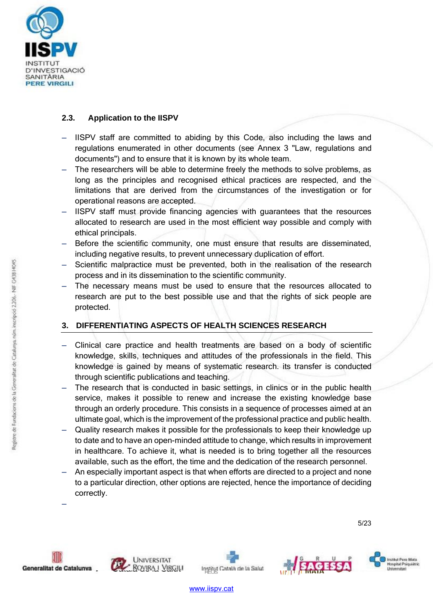

# **2.3. Application to the IISPV**

- IISPV staff are committed to abiding by this Code, also including the laws and regulations enumerated in other documents (see Annex 3 "Law, regulations and documents") and to ensure that it is known by its whole team.
- The researchers will be able to determine freely the methods to solve problems, as long as the principles and recognised ethical practices are respected, and the limitations that are derived from the circumstances of the investigation or for operational reasons are accepted.
- IISPV staff must provide financing agencies with guarantees that the resources allocated to research are used in the most efficient way possible and comply with ethical principals.
- Before the scientific community, one must ensure that results are disseminated, including negative results, to prevent unnecessary duplication of effort.
- Scientific malpractice must be prevented, both in the realisation of the research process and in its dissemination to the scientific community.
- The necessary means must be used to ensure that the resources allocated to research are put to the best possible use and that the rights of sick people are protected.

# **3. DIFFERENTIATING ASPECTS OF HEALTH SCIENCES RESEARCH**

- Clinical care practice and health treatments are based on a body of scientific knowledge, skills, techniques and attitudes of the professionals in the field. This knowledge is gained by means of systematic research. its transfer is conducted through scientific publications and teaching.
- The research that is conducted in basic settings, in clinics or in the public health service, makes it possible to renew and increase the existing knowledge base through an orderly procedure. This consists in a sequence of processes aimed at an ultimate goal, which is the improvement of the professional practice and public health.
- Quality research makes it possible for the professionals to keep their knowledge up to date and to have an open-minded attitude to change, which results in improvement in healthcare. To achieve it, what is needed is to bring together all the resources available, such as the effort, the time and the dedication of the research personnel.
- An especially important aspect is that when efforts are directed to a project and none to a particular direction, other options are rejected, hence the importance of deciding correctly. –







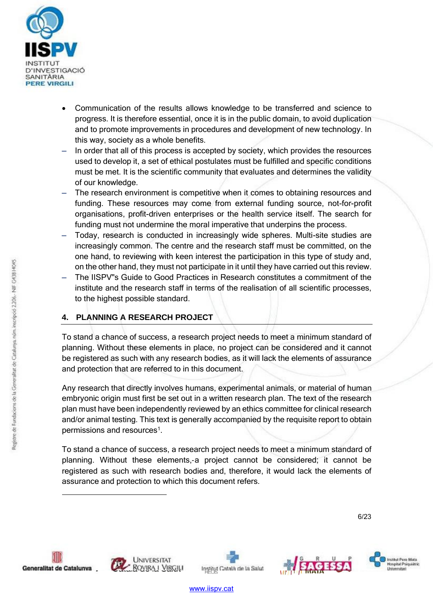

- Communication of the results allows knowledge to be transferred and science to progress. It is therefore essential, once it is in the public domain, to avoid duplication and to promote improvements in procedures and development of new technology. In this way, society as a whole benefits.
- In order that all of this process is accepted by society, which provides the resources used to develop it, a set of ethical postulates must be fulfilled and specific conditions must be met. It is the scientific community that evaluates and determines the validity of our knowledge.
- The research environment is competitive when it comes to obtaining resources and funding. These resources may come from external funding source, not-for-profit organisations, profit-driven enterprises or the health service itself. The search for funding must not undermine the moral imperative that underpins the process.
- Today, research is conducted in increasingly wide spheres. Multi-site studies are increasingly common. The centre and the research staff must be committed, on the one hand, to reviewing with keen interest the participation in this type of study and, on the other hand, they must not participate in it until they have carried out this review.
- The IISPV"s Guide to Good Practices in Research constitutes a commitment of the institute and the research staff in terms of the realisation of all scientific processes, to the highest possible standard.

# **4. PLANNING A RESEARCH PROJECT**

To stand a chance of success, a research project needs to meet a minimum standard of planning. Without these elements in place, no project can be considered and it cannot be registered as such with any research bodies, as it will lack the elements of assurance and protection that are referred to in this document.

Any research that directly involves humans, experimental animals, or material of human embryonic origin must first be set out in a written research plan. The text of the research plan must have been independently reviewed by an ethics committee for clinical research and/or animal testing. This text is generally accompanied by the requisite report to obtain permissions and resources<sup>1</sup>.

To stand a chance of success, a research project needs to meet a minimum standard of planning. Without these elements,‐a project cannot be considered; it cannot be registered as such with research bodies and, therefore, it would lack the elements of assurance and protection to which this document refers.

6/23









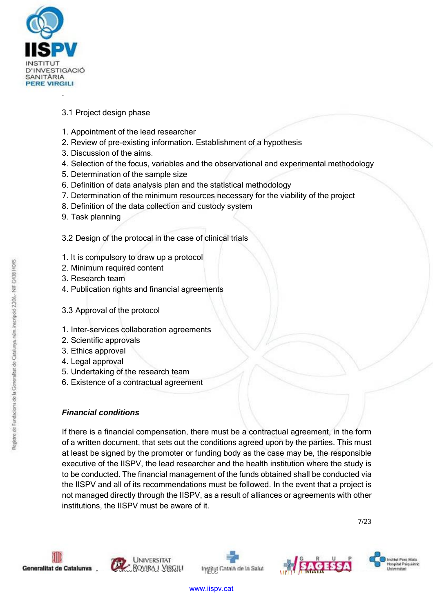

# 3.1 Project design phase

- 1. Appointment of the lead researcher
- 2. Review of pre-existing information. Establishment of a hypothesis
- 3. Discussion of the aims.
- 4. Selection of the focus, variables and the observational and experimental methodology
- 5. Determination of the sample size
- 6. Definition of data analysis plan and the statistical methodology
- 7. Determination of the minimum resources necessary for the viability of the project
- 8. Definition of the data collection and custody system
- 9. Task planning

3.2 Design of the protocal in the case of clinical trials

- 1. It is compulsory to draw up a protocol
- 2. Minimum required content
- 3. Research team
- 4. Publication rights and financial agreements
- 3.3 Approval of the protocol
- 1. Inter-services collaboration agreements
- 2. Scientific approvals
- 3. Ethics approval
- 4. Legal approval
- 5. Undertaking of the research team
- 6. Existence of a contractual agreement

# *Financial conditions*

If there is a financial compensation, there must be a contractual agreement, in the form of a written document, that sets out the conditions agreed upon by the parties. This must at least be signed by the promoter or funding body as the case may be, the responsible executive of the IISPV, the lead researcher and the health institution where the study is to be conducted. The financial management of the funds obtained shall be conducted via the IISPV and all of its recommendations must be followed. In the event that a project is not managed directly through the IISPV, as a result of alliances or agreements with other institutions, the IISPV must be aware of it.

7/23







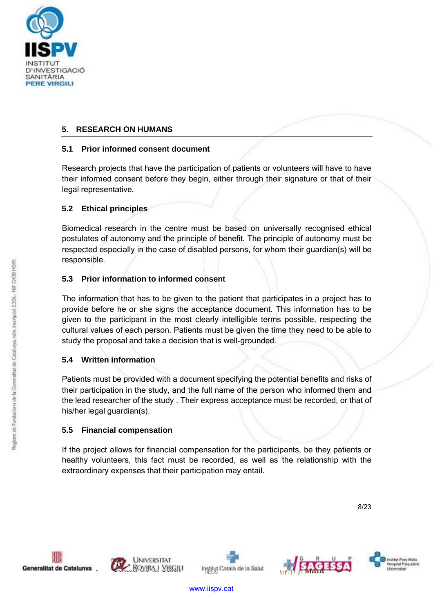

# **5. RESEARCH ON HUMANS**

# **5.1 Prior informed consent document**

Research projects that have the participation of patients or volunteers will have to have their informed consent before they begin, either through their signature or that of their legal representative.

# **5.2 Ethical principles**

Biomedical research in the centre must be based on universally recognised ethical postulates of autonomy and the principle of benefit. The principle of autonomy must be respected especially in the case of disabled persons, for whom their guardian(s) will be responsible.

# **5.3 Prior information to informed consent**

The information that has to be given to the patient that participates in a project has to provide before he or she signs the acceptance document. This information has to be given to the participant in the most clearly intelligible terms possible, respecting the cultural values of each person. Patients must be given the time they need to be able to study the proposal and take a decision that is well-grounded.

# **5.4 Written information**

Patients must be provided with a document specifying the potential benefits and risks of their participation in the study, and the full name of the person who informed them and the lead researcher of the study . Their express acceptance must be recorded, or that of his/her legal guardian(s).

# **5.5 Financial compensation**

If the project allows for financial compensation for the participants, be they patients or healthy volunteers, this fact must be recorded, as well as the relationship with the extraordinary expenses that their participation may entail.

8/23









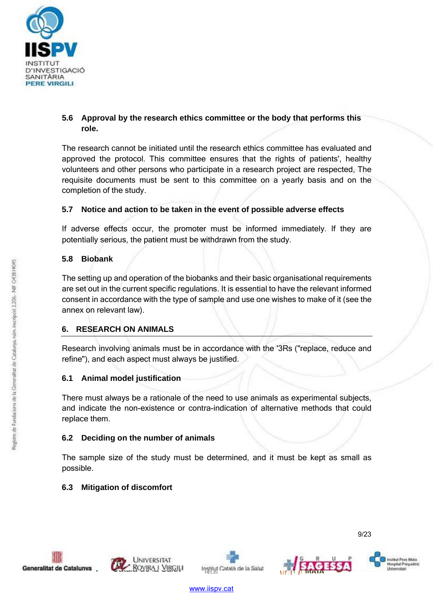

# **5.6 Approval by the research ethics committee or the body that performs this role.**

The research cannot be initiated until the research ethics committee has evaluated and approved the protocol. This committee ensures that the rights of patients', healthy volunteers and other persons who participate in a research project are respected, The requisite documents must be sent to this committee on a yearly basis and on the completion of the study.

# **5.7 Notice and action to be taken in the event of possible adverse effects**

If adverse effects occur, the promoter must be informed immediately. If they are potentially serious, the patient must be withdrawn from the study.

# **5.8 Biobank**

The setting up and operation of the biobanks and their basic organisational requirements are set out in the current specific regulations. It is essential to have the relevant informed consent in accordance with the type of sample and use one wishes to make of it (see the annex on relevant law).

# **6. RESEARCH ON ANIMALS**

Research involving animals must be in accordance with the '3Rs ("replace, reduce and refine"), and each aspect must always be justified.

# **6.1 Animal model justification**

There must always be a rationale of the need to use animals as experimental subjects, and indicate the non-existence or contra-indication of alternative methods that could replace them.

# **6.2 Deciding on the number of animals**

The sample size of the study must be determined, and it must be kept as small as possible.

# **6.3 Mitigation of discomfort**









9/23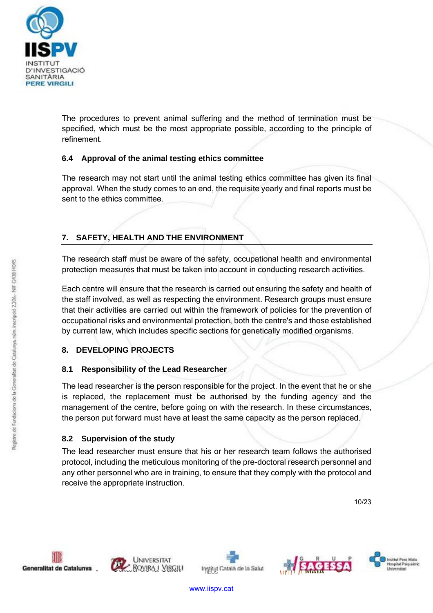

The procedures to prevent animal suffering and the method of termination must be specified, which must be the most appropriate possible, according to the principle of refinement.

# **6.4 Approval of the animal testing ethics committee**

The research may not start until the animal testing ethics committee has given its final approval. When the study comes to an end, the requisite yearly and final reports must be sent to the ethics committee.

# **7. SAFETY, HEALTH AND THE ENVIRONMENT**

The research staff must be aware of the safety, occupational health and environmental protection measures that must be taken into account in conducting research activities.

Each centre will ensure that the research is carried out ensuring the safety and health of the staff involved, as well as respecting the environment. Research groups must ensure that their activities are carried out within the framework of policies for the prevention of occupational risks and environmental protection, both the centre's and those established by current law, which includes specific sections for genetically modified organisms.

# **8. DEVELOPING PROJECTS**

# **8.1 Responsibility of the Lead Researcher**

The lead researcher is the person responsible for the project. In the event that he or she is replaced, the replacement must be authorised by the funding agency and the management of the centre, before going on with the research. In these circumstances, the person put forward must have at least the same capacity as the person replaced.

# **8.2 Supervision of the study**

The lead researcher must ensure that his or her research team follows the authorised protocol, including the meticulous monitoring of the pre-doctoral research personnel and any other personnel who are in training, to ensure that they comply with the protocol and receive the appropriate instruction.

10/23









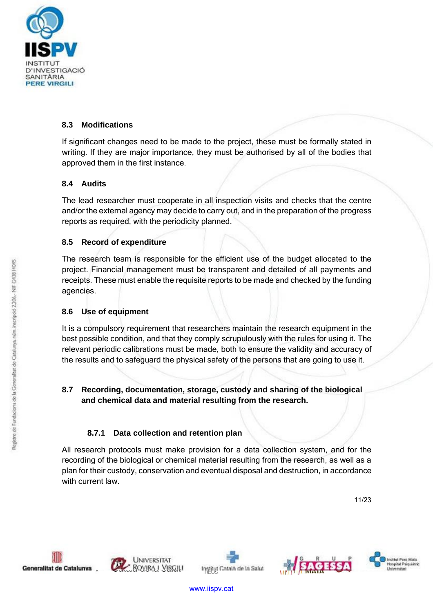

# **8.3 Modifications**

If significant changes need to be made to the project, these must be formally stated in writing. If they are major importance, they must be authorised by all of the bodies that approved them in the first instance.

# **8.4 Audits**

The lead researcher must cooperate in all inspection visits and checks that the centre and/or the external agency may decide to carry out, and in the preparation of the progress reports as required, with the periodicity planned.

# **8.5 Record of expenditure**

The research team is responsible for the efficient use of the budget allocated to the project. Financial management must be transparent and detailed of all payments and receipts. These must enable the requisite reports to be made and checked by the funding agencies.

# **8.6 Use of equipment**

It is a compulsory requirement that researchers maintain the research equipment in the best possible condition, and that they comply scrupulously with the rules for using it. The relevant periodic calibrations must be made, both to ensure the validity and accuracy of the results and to safeguard the physical safety of the persons that are going to use it.

# **8.7 Recording, documentation, storage, custody and sharing of the biological and chemical data and material resulting from the research.**

# **8.7.1 Data collection and retention plan**

All research protocols must make provision for a data collection system, and for the recording of the biological or chemical material resulting from the research, as well as a plan for their custody, conservation and eventual disposal and destruction, in accordance with current law.

11/23









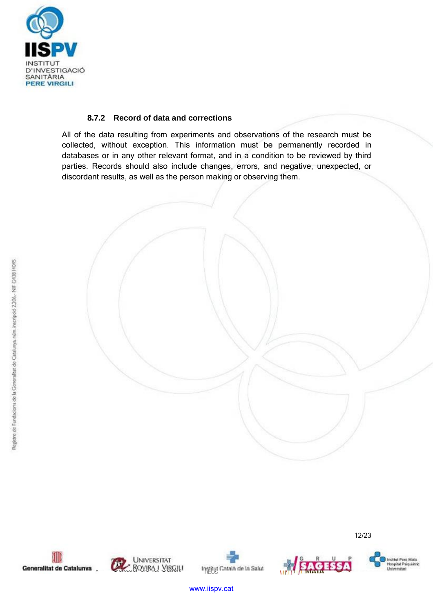

### **8.7.2 Record of data and corrections**

All of the data resulting from experiments and observations of the research must be collected, without exception. This information must be permanently recorded in databases or in any other relevant format, and in a condition to be reviewed by third parties. Records should also include changes, errors, and negative, unexpected, or discordant results, as well as the person making or observing them.











12/23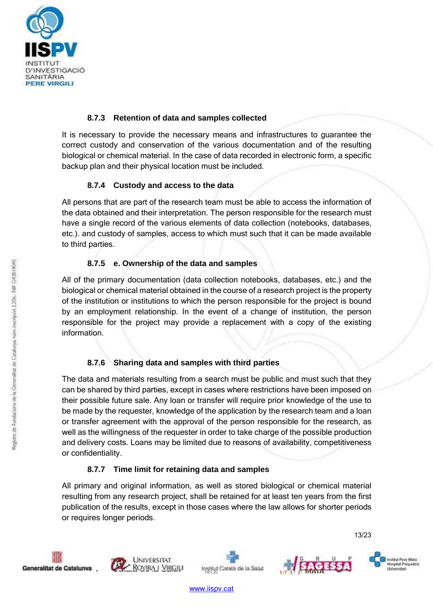

### **8.7.3 Retention of data and samples collected**

It is necessary to provide the necessary means and infrastructures to guarantee the correct custody and conservation of the various documentation and of the resulting biological or chemical material. In the case of data recorded in electronic form, a specific backup plan and their physical location must be included.

#### **8.7.4 Custody and access to the data**

All persons that are part of the research team must be able to access the information of the data obtained and their interpretation. The person responsible for the research must have a single record of the various elements of data collection (notebooks, databases, etc.). and custody of samples, access to which must such that it can be made available to third parties.

# **8.7.5 e. Ownership of the data and samples**

All of the primary documentation (data collection notebooks, databases, etc.) and the biological or chemical material obtained in the course of a research project is the property of the institution or institutions to which the person responsible for the project is bound by an employment relationship. In the event of a change of institution, the person responsible for the project may provide a replacement with a copy of the existing information.

# **8.7.6 Sharing data and samples with third parties**

The data and materials resulting from a search must be public and must such that they can be shared by third parties, except in cases where restrictions have been imposed on their possible future sale. Any loan or transfer will require prior knowledge of the use to be made by the requester, knowledge of the application by the research team and a loan or transfer agreement with the approval of the person responsible for the research, as well as the willingness of the requester in order to take charge of the possible production and delivery costs. Loans may be limited due to reasons of availability, competitiveness or confidentiality.

# **8.7.7 Time limit for retaining data and samples**

All primary and original information, as well as stored biological or chemical material resulting from any research project, shall be retained for at least ten years from the first publication of the results, except in those cases where the law allows for shorter periods or requires longer periods.









13/23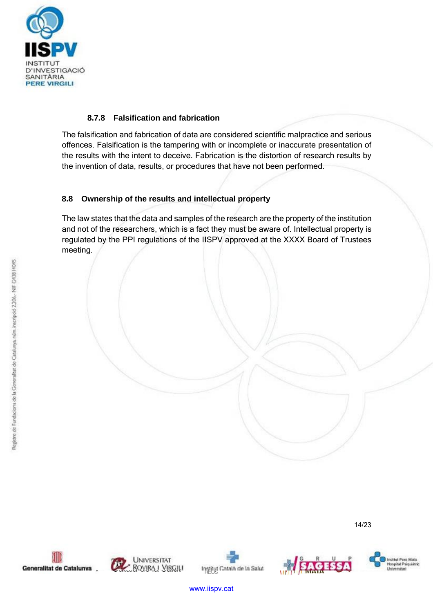

### **8.7.8 Falsification and fabrication**

The falsification and fabrication of data are considered scientific malpractice and serious offences. Falsification is the tampering with or incomplete or inaccurate presentation of the results with the intent to deceive. Fabrication is the distortion of research results by the invention of data, results, or procedures that have not been performed.

#### **8.8 Ownership of the results and intellectual property**

The law states that the data and samples of the research are the property of the institution and not of the researchers, which is a fact they must be aware of. Intellectual property is regulated by the PPI regulations of the IISPV approved at the XXXX Board of Trustees meeting.

14/23







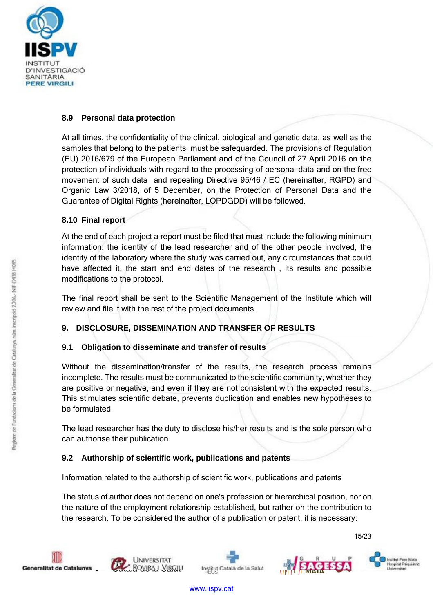

### **8.9 Personal data protection**

At all times, the confidentiality of the clinical, biological and genetic data, as well as the samples that belong to the patients, must be safeguarded. The provisions of Regulation (EU) 2016/679 of the European Parliament and of the Council of 27 April 2016 on the protection of individuals with regard to the processing of personal data and on the free movement of such data and repealing Directive 95/46 / EC (hereinafter, RGPD) and Organic Law 3/2018, of 5 December, on the Protection of Personal Data and the Guarantee of Digital Rights (hereinafter, LOPDGDD) will be followed.

# **8.10 Final report**

At the end of each project a report must be filed that must include the following minimum information: the identity of the lead researcher and of the other people involved, the identity of the laboratory where the study was carried out, any circumstances that could have affected it, the start and end dates of the research , its results and possible modifications to the protocol.

The final report shall be sent to the Scientific Management of the Institute which will review and file it with the rest of the project documents.

# **9. DISCLOSURE, DISSEMINATION AND TRANSFER OF RESULTS**

# **9.1 Obligation to disseminate and transfer of results**

Without the dissemination/transfer of the results, the research process remains incomplete. The results must be communicated to the scientific community, whether they are positive or negative, and even if they are not consistent with the expected results. This stimulates scientific debate, prevents duplication and enables new hypotheses to be formulated.

The lead researcher has the duty to disclose his/her results and is the sole person who can authorise their publication.

# **9.2 Authorship of scientific work, publications and patents**

Information related to the authorship of scientific work, publications and patents

The status of author does not depend on one's profession or hierarchical position, nor on the nature of the employment relationship established, but rather on the contribution to the research. To be considered the author of a publication or patent, it is necessary:









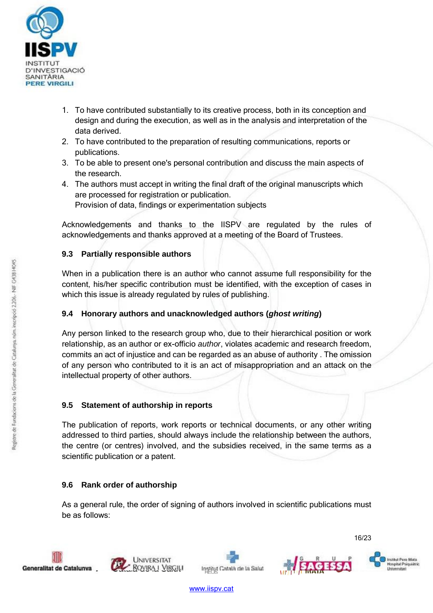

- 1. To have contributed substantially to its creative process, both in its conception and design and during the execution, as well as in the analysis and interpretation of the data derived.
- 2. To have contributed to the preparation of resulting communications, reports or publications.
- 3. To be able to present one's personal contribution and discuss the main aspects of the research.
- 4. The authors must accept in writing the final draft of the original manuscripts which are processed for registration or publication. Provision of data, findings or experimentation subjects

Acknowledgements and thanks to the IISPV are regulated by the rules of acknowledgements and thanks approved at a meeting of the Board of Trustees.

# **9.3 Partially responsible authors**

When in a publication there is an author who cannot assume full responsibility for the content, his/her specific contribution must be identified, with the exception of cases in which this issue is already regulated by rules of publishing.

# **9.4 Honorary authors and unacknowledged authors (***ghost writing***)**

Any person linked to the research group who, due to their hierarchical position or work relationship, as an author or ex-officio *author*, violates academic and research freedom, commits an act of injustice and can be regarded as an abuse of authority . The omission of any person who contributed to it is an act of misappropriation and an attack on the intellectual property of other authors.

# **9.5 Statement of authorship in reports**

The publication of reports, work reports or technical documents, or any other writing addressed to third parties, should always include the relationship between the authors, the centre (or centres) involved, and the subsidies received, in the same terms as a scientific publication or a patent.

# **9.6 Rank order of authorship**

As a general rule, the order of signing of authors involved in scientific publications must be as follows:







16/23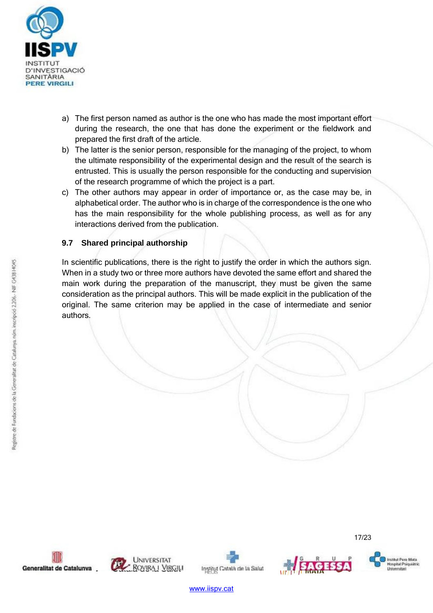

- a) The first person named as author is the one who has made the most important effort during the research, the one that has done the experiment or the fieldwork and prepared the first draft of the article.
- b) The latter is the senior person, responsible for the managing of the project, to whom the ultimate responsibility of the experimental design and the result of the search is entrusted. This is usually the person responsible for the conducting and supervision of the research programme of which the project is a part.
- c) The other authors may appear in order of importance or, as the case may be, in alphabetical order. The author who is in charge of the correspondence is the one who has the main responsibility for the whole publishing process, as well as for any interactions derived from the publication.

# **9.7 Shared principal authorship**

In scientific publications, there is the right to justify the order in which the authors sign. When in a study two or three more authors have devoted the same effort and shared the main work during the preparation of the manuscript, they must be given the same consideration as the principal authors. This will be made explicit in the publication of the original. The same criterion may be applied in the case of intermediate and senior authors.









17/23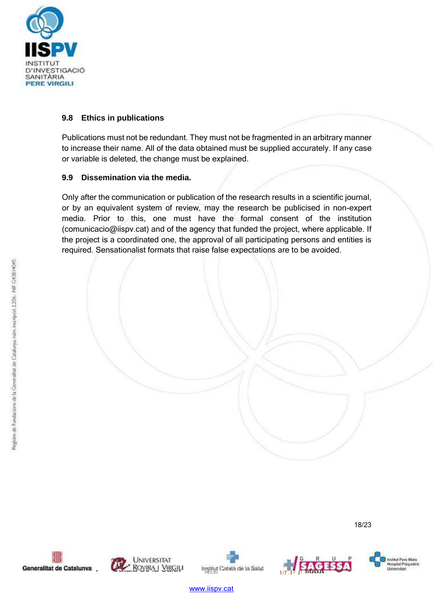

### **9.8 Ethics in publications**

Publications must not be redundant. They must not be fragmented in an arbitrary manner to increase their name. All of the data obtained must be supplied accurately. If any case or variable is deleted, the change must be explained.

#### **9.9 Dissemination via the media.**

Only after the communication or publication of the research results in a scientific journal, or by an equivalent system of review, may the research be publicised in non-expert media. Prior to this, one must have the formal consent of the institution (comunicacio@iispv.cat) and of the agency that funded the project, where applicable. If the project is a coordinated one, the approval of all participating persons and entities is required. Sensationalist formats that raise false expectations are to be avoided.

18/23







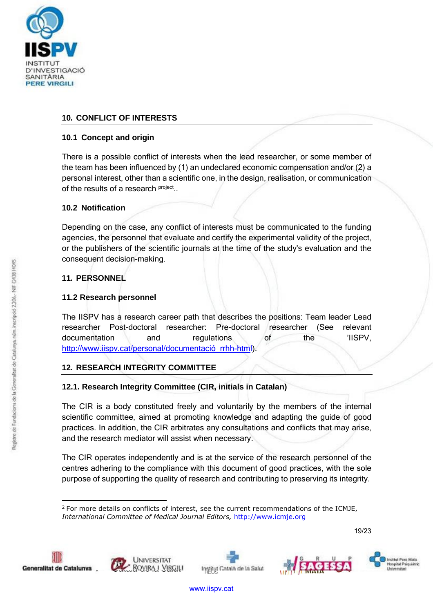

# **10. CONFLICT OF INTERESTS**

#### **10.1 Concept and origin**

There is a possible conflict of interests when the lead researcher, or some member of the team has been influenced by (1) an undeclared economic compensation and/or (2) a personal interest, other than a scientific one, in the design, realisation, or communication of the results of a research **project**..

# **10.2 Notification**

Depending on the case, any conflict of interests must be communicated to the funding agencies, the personnel that evaluate and certify the experimental validity of the project, or the publishers of the scientific journals at the time of the study's evaluation and the consequent decision-making.

# **11. PERSONNEL**

# **11.2 Research personnel**

The IISPV has a research career path that describes the positions: Team leader Lead researcher Post-doctoral researcher: Pre-doctoral researcher (See relevant documentation and regulations of the 'IISPV, [http://www.iispv.cat/personal/documentació\\_rrhh-html\).](http://www.iispv.cat/personal/documentació_rrhh-html))

# **12. RESEARCH INTEGRITY COMMITTEE**

# **12.1. Research Integrity Committee (CIR, initials in Catalan)**

The CIR is a body constituted freely and voluntarily by the members of the internal scientific committee, aimed at promoting knowledge and adapting the guide of good practices. In addition, the CIR arbitrates any consultations and conflicts that may arise, and the research mediator will assist when necessary.

The CIR operates independently and is at the service of the research personnel of the centres adhering to the compliance with this document of good practices, with the sole purpose of supporting the quality of research and contributing to preserving its integrity.

19/23









Institut Pere Mata<br>Hospitat Psiquiátr Universitari

 $2$  For more details on conflicts of interest, see the current recommendations of the ICMJE, *International Committee of Medical Journal Editors,* [http://www.icmje.org](http://www.icmje.org/)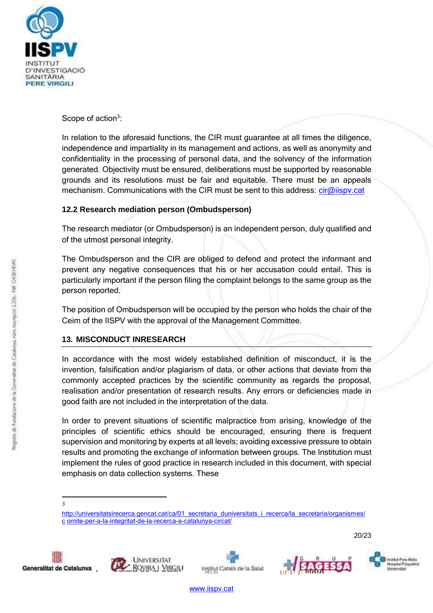

Scope of action<sup>3</sup>:

In relation to the aforesaid functions, the CIR must guarantee at all times the diligence, independence and impartiality in its management and actions, as well as anonymity and confidentiality in the processing of personal data, and the solvency of the information generated. Objectivity must be ensured, deliberations must be supported by reasonable grounds and its resolutions must be fair and equitable. There must be an appeals mechanism. Communications with the CIR must be sent to this address: *cir@iispv.cat* 

# **12.2 Research mediation person (Ombudsperson)**

The research mediator (or Ombudsperson) is an independent person, duly qualified and of the utmost personal integrity.

The Ombudsperson and the CIR are obliged to defend and protect the informant and prevent any negative consequences that his or her accusation could entail. This is particularly important if the person filing the complaint belongs to the same group as the person reported.

The position of Ombudsperson will be occupied by the person who holds the chair of the Ceim of the IISPV with the approval of the Management Committee.

# **13. MISCONDUCT INRESEARCH**

In accordance with the most widely established definition of misconduct, it is the invention, falsification and/or plagiarism of data, or other actions that deviate from the commonly accepted practices by the scientific community as regards the proposal, realisation and/or presentation of research results. Any errors or deficiencies made in good faith are not included in the interpretation of the data.

In order to prevent situations of scientific malpractice from arising, knowledge of the principles of scientific ethics should be encouraged, ensuring there is frequent supervision and monitoring by experts at all levels; avoiding excessive pressure to obtain results and promoting the exchange of information between groups. The Institution must implement the rules of good practice in research included in this document, with special emphasis on data collection systems. These

3

20/23











http://universitatsirecerca.gencat.cat/ca/01 secretaria duniversitats i recerca/la secretaria/organismes/ [c](http://universitatsirecerca.gencat.cat/ca/01_secretaria_duniversitats_i_recerca/la_secretaria/organismes/c) omite-per-a-la-integritat-de-la-recerca-a-catalunya-circat/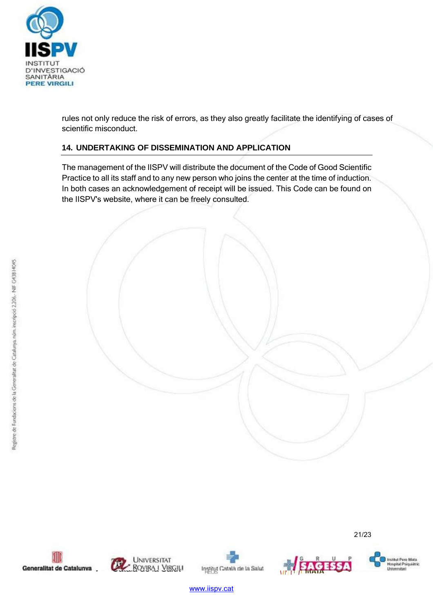

rules not only reduce the risk of errors, as they also greatly facilitate the identifying of cases of scientific misconduct.

# **14. UNDERTAKING OF DISSEMINATION AND APPLICATION**

The management of the IISPV will distribute the document of the Code of Good Scientific Practice to all its staff and to any new person who joins the center at the time of induction. In both cases an acknowledgement of receipt will be issued. This Code can be found on the IISPV's website, where it can be freely consulted.







21/23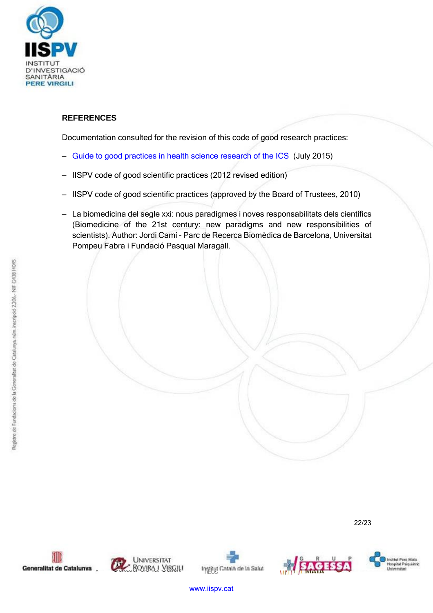

# **REFERENCES**

Documentation consulted for the revision of this code of good research practices:

- Guide to good practices in health science research of the ICS (July 2015)
- IISPV code of good scientific practices (2012 revised edition)
- IISPV code of good scientific practices (approved by the Board of Trustees, 2010)
- La biomedicina del segle xxi: nous paradigmes i noves responsabilitats dels científics (Biomedicine of the 21st century: new paradigms and new responsibilities of scientists). Author: Jordi Camí - Parc de Recerca Biomèdica de Barcelona, Universitat Pompeu Fabra i Fundació Pasqual Maragall.

22/23